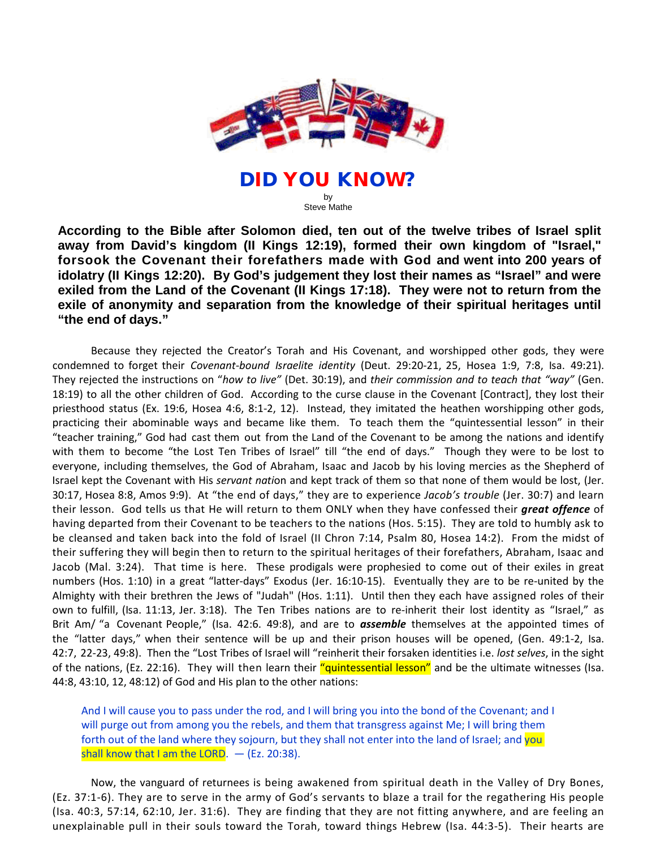

DID YOU KNOW? by Steve Mathe

**According to the Bible after Solomon died, ten out of the twelve tribes of Israel split away from David's kingdom (II Kings 12:19), formed their own kingdom of "Israel," forsook the Covenant their forefathers made with God and went into 200 years of idolatry (II Kings 12:20). By God's judgement they lost their names as "Israel" and were exiled from the Land of the Covenant (II Kings 17:18). They were not to return from the exile of anonymity and separation from the knowledge of their spiritual heritages until "the end of days."**

Because they rejected the Creator's Torah and His Covenant, and worshipped other gods, they were condemned to forget their *Covenant-bound Israelite identity* (Deut. 29:20-21, 25, Hosea 1:9, 7:8, Isa. 49:21). They rejected the instructions on "*how to live"* (Det. 30:19), and *their commission and to teach that "way"* (Gen. 18:19) to all the other children of God. According to the curse clause in the Covenant [Contract], they lost their priesthood status (Ex. 19:6, Hosea 4:6, 8:1-2, 12). Instead, they imitated the heathen worshipping other gods, practicing their abominable ways and became like them. To teach them the "quintessential lesson" in their "teacher training," God had cast them out from the Land of the Covenant to be among the nations and identify with them to become "the Lost Ten Tribes of Israel" till "the end of days." Though they were to be lost to everyone, including themselves, the God of Abraham, Isaac and Jacob by his loving mercies as the Shepherd of Israel kept the Covenant with His *servant nati*on and kept track of them so that none of them would be lost, (Jer. 30:17, Hosea 8:8, Amos 9:9). At "the end of days," they are to experience *Jacob's trouble* (Jer. 30:7) and learn their lesson. God tells us that He will return to them ONLY when they have confessed their *great offence* of having departed from their Covenant to be teachers to the nations (Hos. 5:15). They are told to humbly ask to be cleansed and taken back into the fold of Israel (II Chron 7:14, Psalm 80, Hosea 14:2). From the midst of their suffering they will begin then to return to the spiritual heritages of their forefathers, Abraham, Isaac and Jacob (Mal. 3:24). That time is here. These prodigals were prophesied to come out of their exiles in great numbers (Hos. 1:10) in a great "latter-days" Exodus (Jer. 16:10-15). Eventually they are to be re-united by the Almighty with their brethren the Jews of "Judah" (Hos. 1:11). Until then they each have assigned roles of their own to fulfill, (Isa. 11:13, Jer. 3:18). The Ten Tribes nations are to re-inherit their lost identity as "Israel," as Brit Am/ "a Covenant People," (Isa. 42:6. 49:8), and are to **assemble** themselves at the appointed times of the "latter days," when their sentence will be up and their prison houses will be opened, (Gen. 49:1-2, Isa. 42:7, 22-23, 49:8). Then the "Lost Tribes of Israel will "reinherit their forsaken identities i.e. *lost selves*, in the sight of the nations, (Ez. 22:16). They will then learn their "quintessential lesson" and be the ultimate witnesses (Isa. 44:8, 43:10, 12, 48:12) of God and His plan to the other nations:

And I will cause you to pass under the rod, and I will bring you into the bond of the Covenant; and I will purge out from among you the rebels, and them that transgress against Me; I will bring them forth out of the land where they sojourn, but they shall not enter into the land of Israel; and you shall know that I am the LORD.  $-$  (Ez. 20:38).

Now, the vanguard of returnees is being awakened from spiritual death in the Valley of Dry Bones, (Ez. 37:1-6). They are to serve in the army of God's servants to blaze a trail for the regathering His people (Isa. 40:3, 57:14, 62:10, Jer. 31:6). They are finding that they are not fitting anywhere, and are feeling an unexplainable pull in their souls toward the Torah, toward things Hebrew (Isa. 44:3-5). Their hearts are